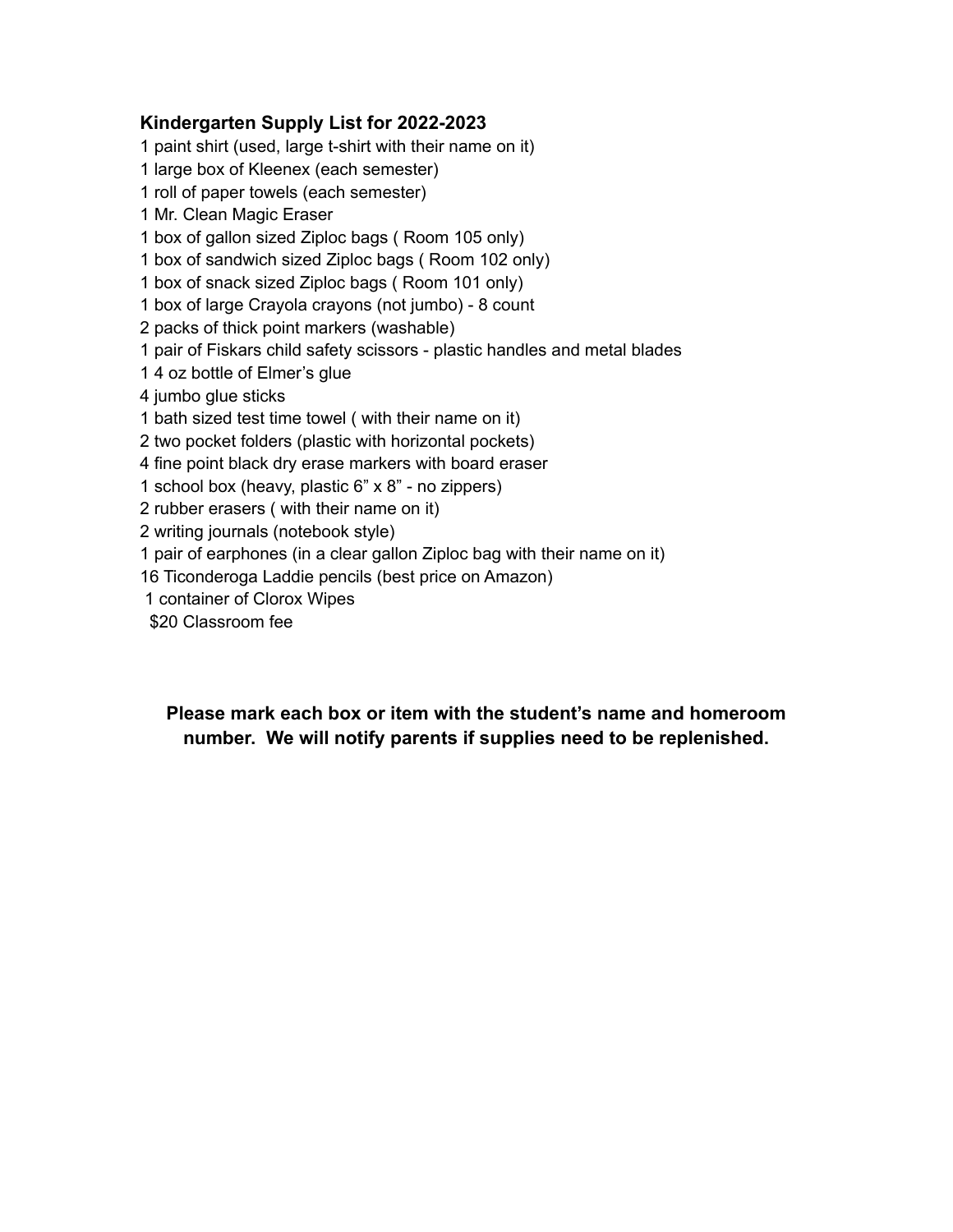#### **Kindergarten Supply List for 2022-2023**

 paint shirt (used, large t-shirt with their name on it) large box of Kleenex (each semester) roll of paper towels (each semester) Mr. Clean Magic Eraser box of gallon sized Ziploc bags ( Room 105 only) box of sandwich sized Ziploc bags ( Room 102 only) box of snack sized Ziploc bags ( Room 101 only) box of large Crayola crayons (not jumbo) - 8 count packs of thick point markers (washable) pair of Fiskars child safety scissors - plastic handles and metal blades 4 oz bottle of Elmer's glue jumbo glue sticks bath sized test time towel ( with their name on it) two pocket folders (plastic with horizontal pockets) fine point black dry erase markers with board eraser school box (heavy, plastic 6" x 8" - no zippers) rubber erasers ( with their name on it) writing journals (notebook style) pair of earphones (in a clear gallon Ziploc bag with their name on it) Ticonderoga Laddie pencils (best price on Amazon) container of Clorox Wipes

\$20 Classroom fee

## **Please mark each box or item with the student's name and homeroom number. We will notify parents if supplies need to be replenished.**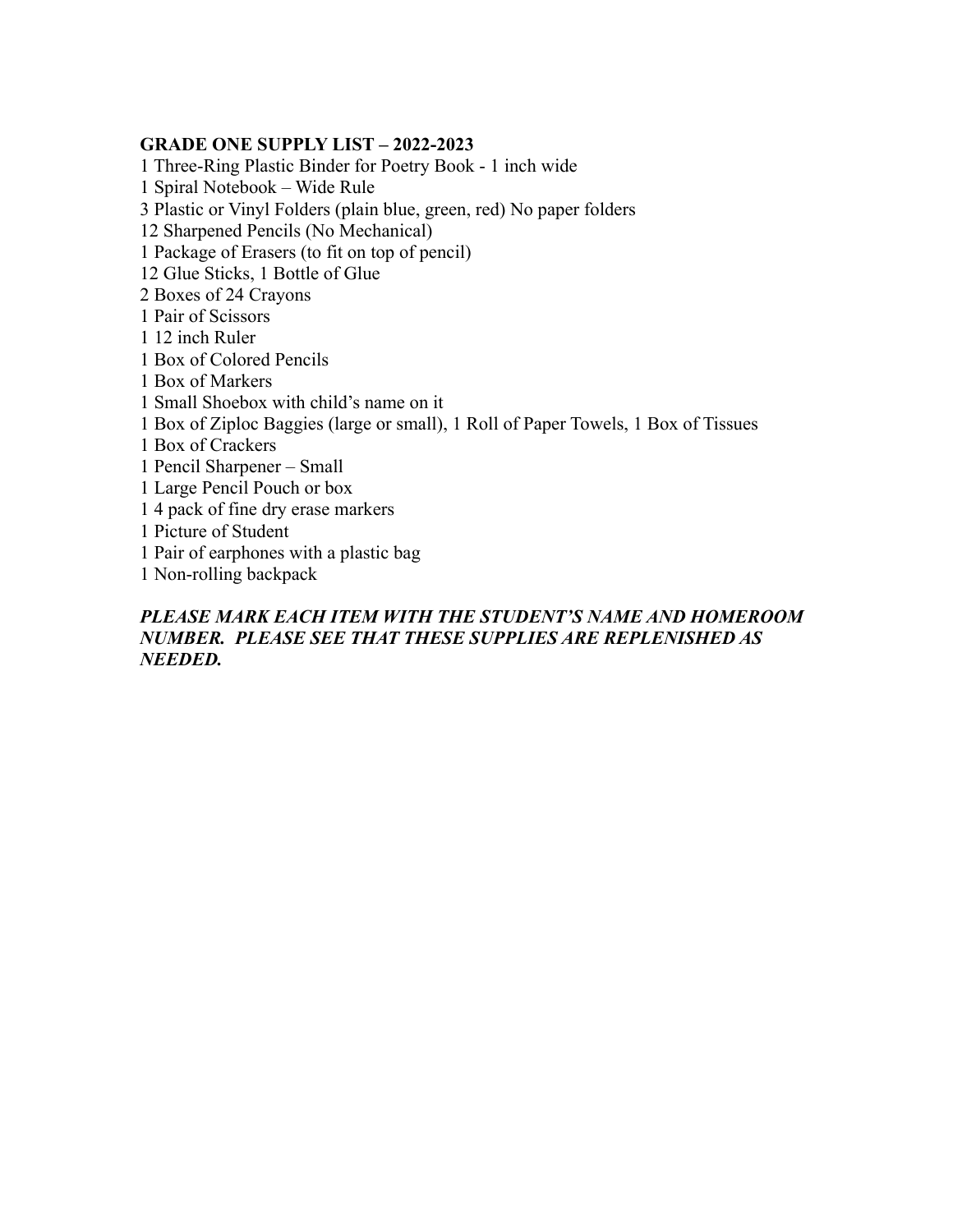#### **GRADE ONE SUPPLY LIST – 2022-2023**

1 Three-Ring Plastic Binder for Poetry Book - 1 inch wide 1 Spiral Notebook – Wide Rule 3 Plastic or Vinyl Folders (plain blue, green, red) No paper folders 12 Sharpened Pencils (No Mechanical) 1 Package of Erasers (to fit on top of pencil) 12 Glue Sticks, 1 Bottle of Glue 2 Boxes of 24 Crayons 1 Pair of Scissors 1 12 inch Ruler 1 Box of Colored Pencils 1 Box of Markers 1 Small Shoebox with child's name on it 1 Box of Ziploc Baggies (large or small), 1 Roll of Paper Towels, 1 Box of Tissues 1 Box of Crackers 1 Pencil Sharpener – Small 1 Large Pencil Pouch or box 1 4 pack of fine dry erase markers 1 Picture of Student 1 Pair of earphones with a plastic bag 1 Non-rolling backpack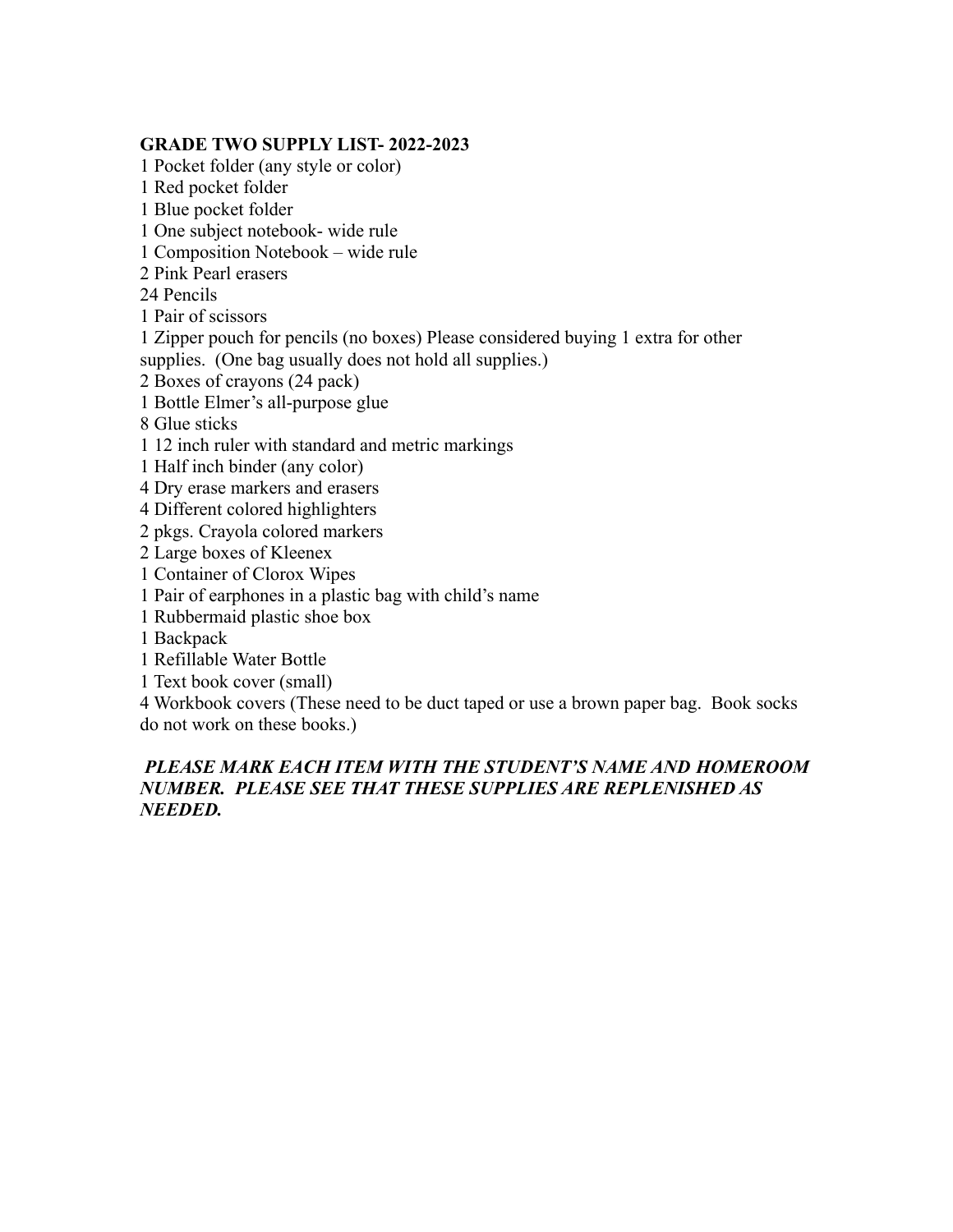#### **GRADE TWO SUPPLY LIST- 2022-2023**

1 Pocket folder (any style or color) 1 Red pocket folder 1 Blue pocket folder 1 One subject notebook- wide rule 1 Composition Notebook – wide rule 2 Pink Pearl erasers 24 Pencils 1 Pair of scissors 1 Zipper pouch for pencils (no boxes) Please considered buying 1 extra for other supplies. (One bag usually does not hold all supplies.) 2 Boxes of crayons (24 pack) 1 Bottle Elmer's all-purpose glue 8 Glue sticks 1 12 inch ruler with standard and metric markings 1 Half inch binder (any color) 4 Dry erase markers and erasers 4 Different colored highlighters 2 pkgs. Crayola colored markers 2 Large boxes of Kleenex 1 Container of Clorox Wipes 1 Pair of earphones in a plastic bag with child's name 1 Rubbermaid plastic shoe box 1 Backpack 1 Refillable Water Bottle 1 Text book cover (small) 4 Workbook covers (These need to be duct taped or use a brown paper bag. Book socks do not work on these books.)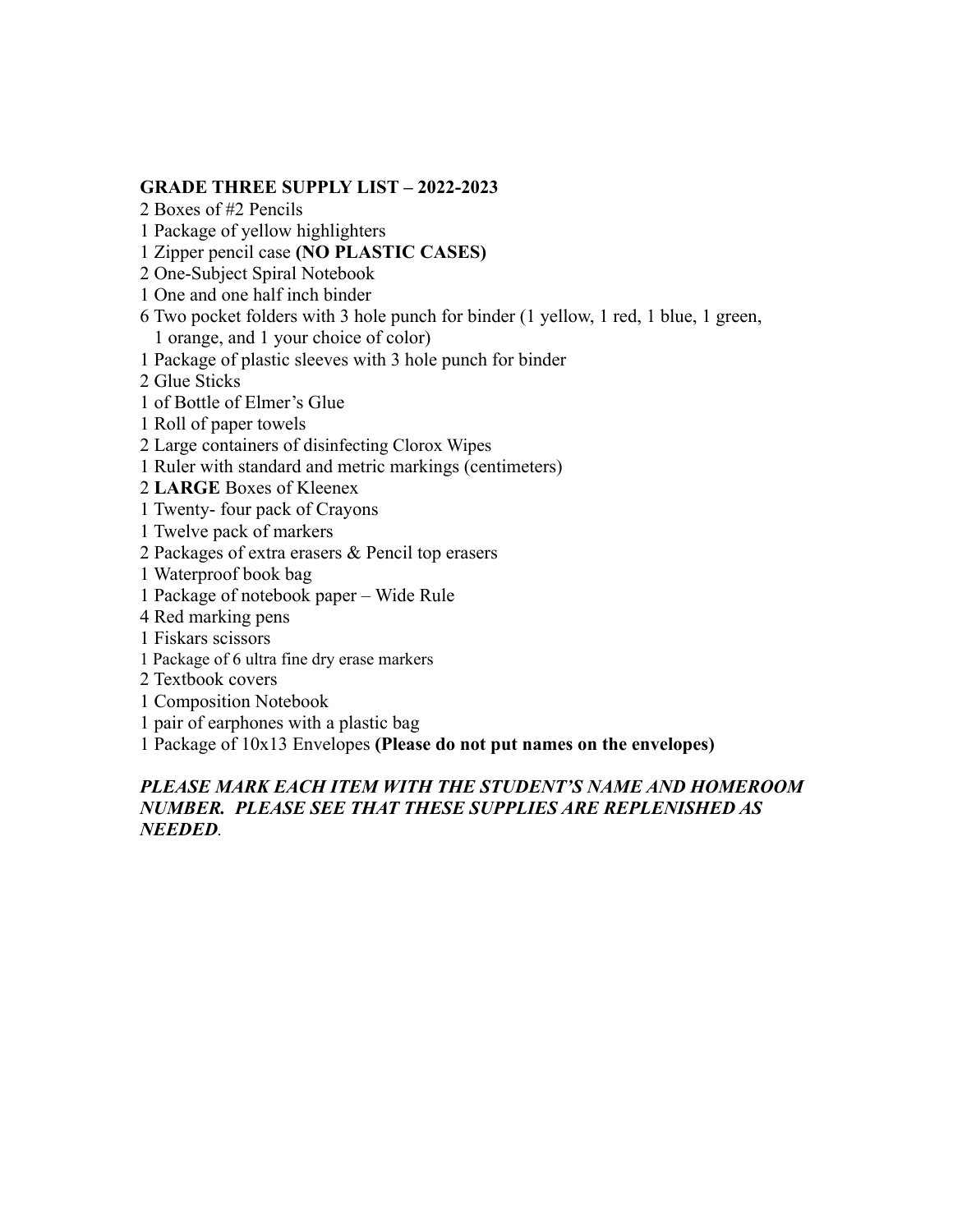## **GRADE THREE SUPPLY LIST – 2022-2023**

2 Boxes of #2 Pencils

1 Package of yellow highlighters

1 Zipper pencil case **(NO PLASTIC CASES)**

2 One-Subject Spiral Notebook

1 One and one half inch binder

6 Two pocket folders with 3 hole punch for binder (1 yellow, 1 red, 1 blue, 1 green, 1 orange, and 1 your choice of color)

1 Package of plastic sleeves with 3 hole punch for binder

2 Glue Sticks

1 of Bottle of Elmer's Glue

1 Roll of paper towels

2 Large containers of disinfecting Clorox Wipes

1 Ruler with standard and metric markings (centimeters)

2 **LARGE** Boxes of Kleenex

1 Twenty- four pack of Crayons

1 Twelve pack of markers

2 Packages of extra erasers & Pencil top erasers

1 Waterproof book bag

1 Package of notebook paper – Wide Rule

4 Red marking pens

1 Fiskars scissors

1 Package of 6 ultra fine dry erase markers

2 Textbook covers

1 Composition Notebook

1 pair of earphones with a plastic bag

1 Package of 10x13 Envelopes **(Please do not put names on the envelopes)**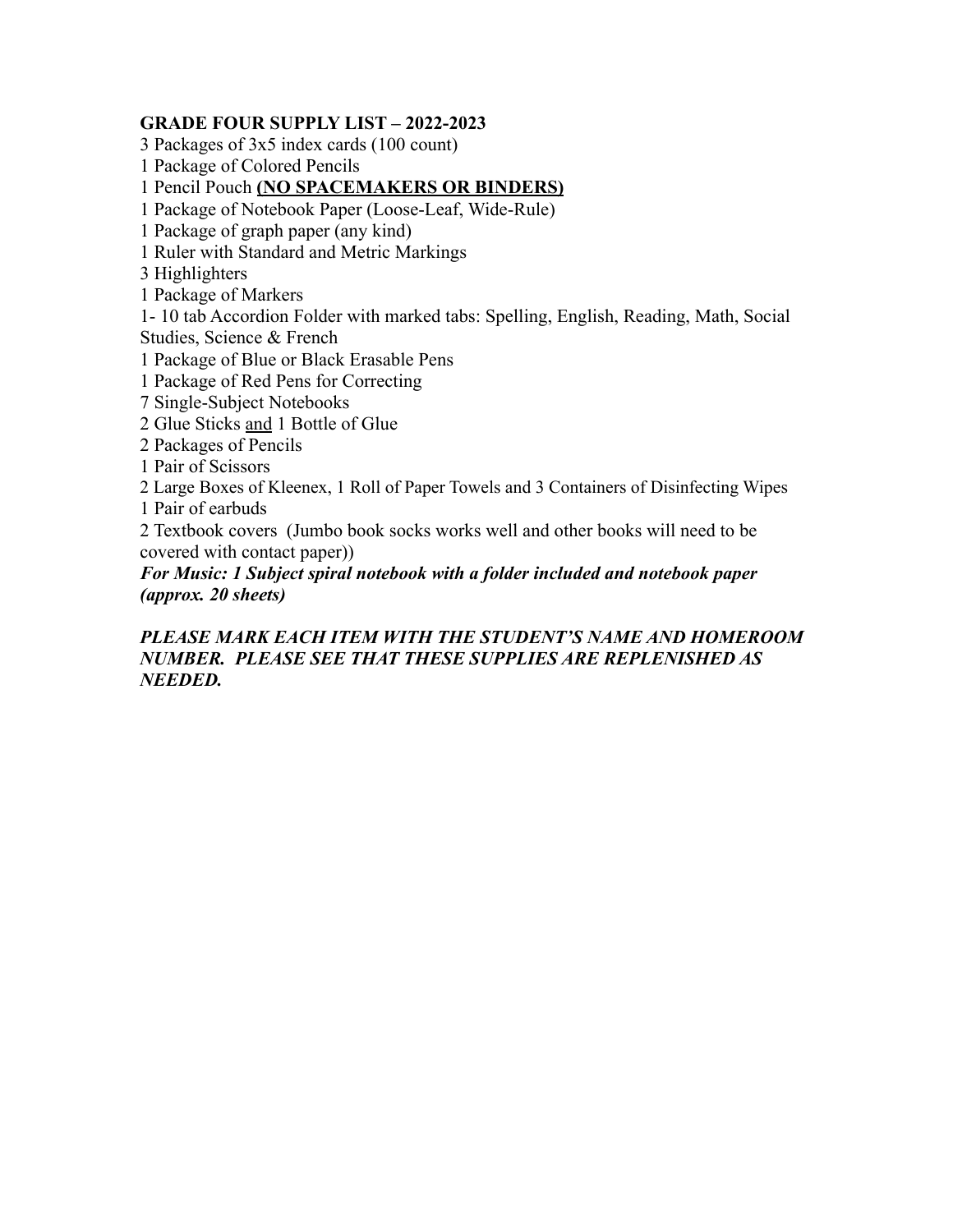### **GRADE FOUR SUPPLY LIST – 2022-2023**

3 Packages of 3x5 index cards (100 count)

1 Package of Colored Pencils

1 Pencil Pouch **(NO SPACEMAKERS OR BINDERS)**

1 Package of Notebook Paper (Loose-Leaf, Wide-Rule)

1 Package of graph paper (any kind)

1 Ruler with Standard and Metric Markings

3 Highlighters

1 Package of Markers

1- 10 tab Accordion Folder with marked tabs: Spelling, English, Reading, Math, Social Studies, Science & French

1 Package of Blue or Black Erasable Pens

1 Package of Red Pens for Correcting

7 Single-Subject Notebooks

2 Glue Sticks and 1 Bottle of Glue

2 Packages of Pencils

1 Pair of Scissors

2 Large Boxes of Kleenex, 1 Roll of Paper Towels and 3 Containers of Disinfecting Wipes 1 Pair of earbuds

2 Textbook covers (Jumbo book socks works well and other books will need to be covered with contact paper))

*For Music: 1 Subject spiral notebook with a folder included and notebook paper (approx. 20 sheets)*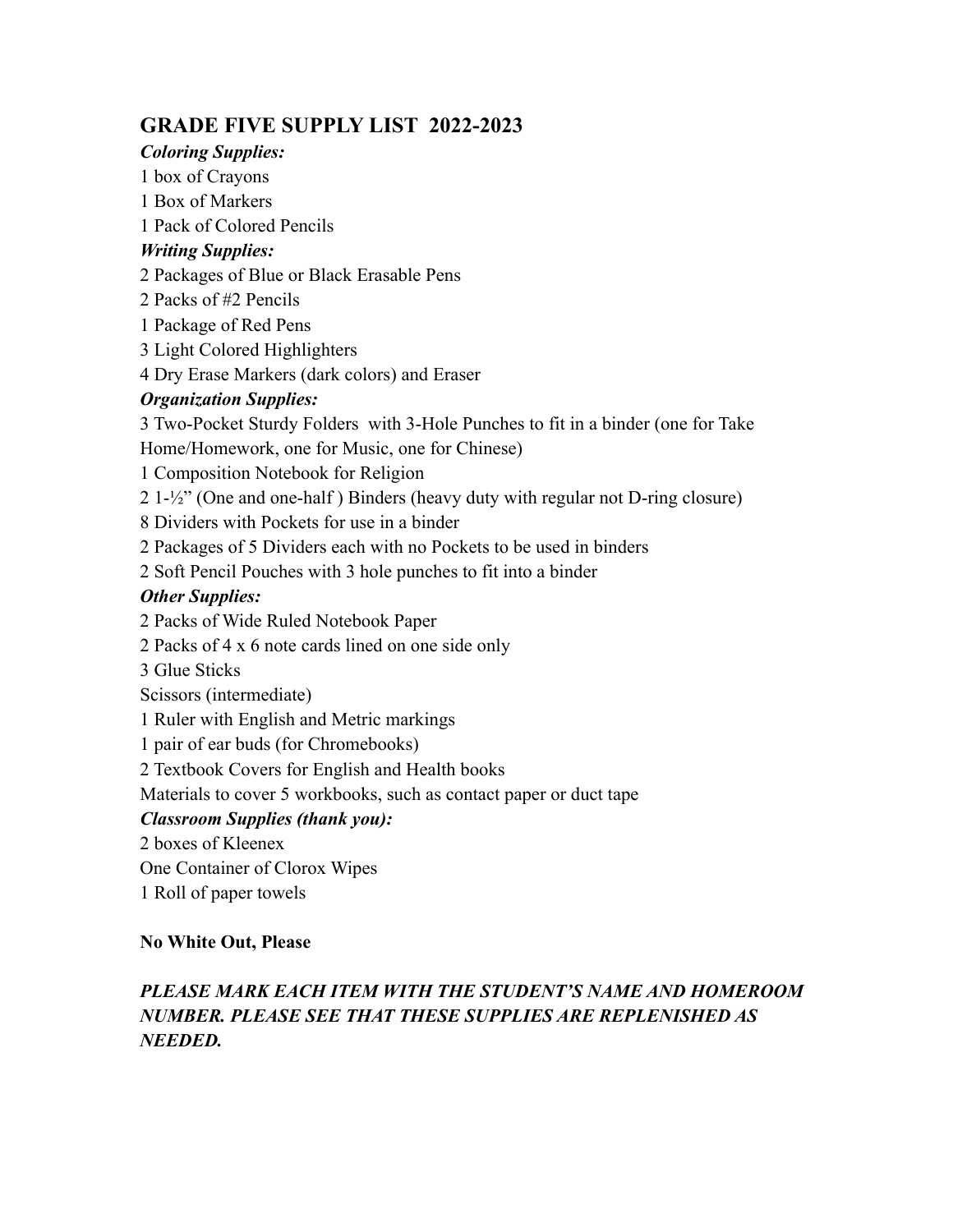# **GRADE FIVE SUPPLY LIST 2022-2023**

# *Coloring Supplies:*

1 box of Crayons

1 Box of Markers

1 Pack of Colored Pencils

# *Writing Supplies:*

2 Packages of Blue or Black Erasable Pens

2 Packs of #2 Pencils

1 Package of Red Pens

3 Light Colored Highlighters

4 Dry Erase Markers (dark colors) and Eraser

# *Organization Supplies:*

3 Two-Pocket Sturdy Folders with 3-Hole Punches to fit in a binder (one for Take Home/Homework, one for Music, one for Chinese)

1 Composition Notebook for Religion

2 1-½" (One and one-half ) Binders (heavy duty with regular not D-ring closure)

8 Dividers with Pockets for use in a binder

2 Packages of 5 Dividers each with no Pockets to be used in binders

2 Soft Pencil Pouches with 3 hole punches to fit into a binder

# *Other Supplies:*

2 Packs of Wide Ruled Notebook Paper

2 Packs of 4 x 6 note cards lined on one side only

3 Glue Sticks

Scissors (intermediate)

1 Ruler with English and Metric markings

1 pair of ear buds (for Chromebooks)

2 Textbook Covers for English and Health books

Materials to cover 5 workbooks, such as contact paper or duct tape

# *Classroom Supplies (thank you):*

2 boxes of Kleenex

One Container of Clorox Wipes

1 Roll of paper towels

# **No White Out, Please**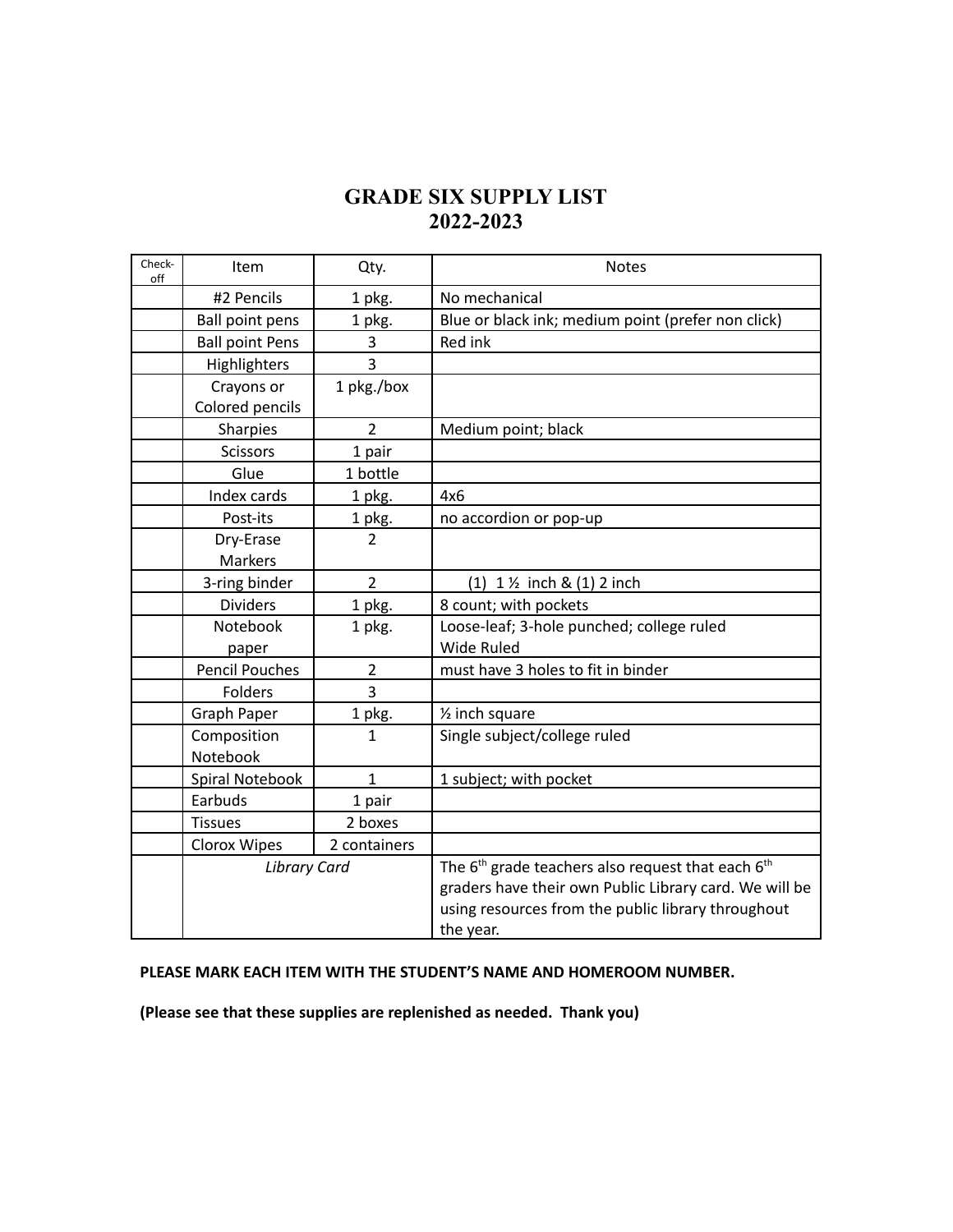# **GRADE SIX SUPPLY LIST 2022-2023**

| Check-<br>off | Item                   | Qty.           | <b>Notes</b>                                           |  |
|---------------|------------------------|----------------|--------------------------------------------------------|--|
|               | #2 Pencils             | 1 pkg.         | No mechanical                                          |  |
|               | <b>Ball point pens</b> | 1 pkg.         | Blue or black ink; medium point (prefer non click)     |  |
|               | <b>Ball point Pens</b> | 3              | Red ink                                                |  |
|               | Highlighters           | 3              |                                                        |  |
|               | Crayons or             | 1 pkg./box     |                                                        |  |
|               | Colored pencils        |                |                                                        |  |
|               | Sharpies               | $\overline{2}$ | Medium point; black                                    |  |
|               | <b>Scissors</b>        | 1 pair         |                                                        |  |
|               | Glue                   | 1 bottle       |                                                        |  |
|               | Index cards            | 1 pkg.         | 4x6                                                    |  |
|               | Post-its               | 1 pkg.         | no accordion or pop-up                                 |  |
|               | Dry-Erase              | $\overline{2}$ |                                                        |  |
|               | Markers                |                |                                                        |  |
|               | 3-ring binder          | $\overline{2}$ | $(1)$ 1 $\frac{1}{2}$ inch & $(1)$ 2 inch              |  |
|               | <b>Dividers</b>        | 1 pkg.         | 8 count; with pockets                                  |  |
|               | Notebook               | 1 pkg.         | Loose-leaf; 3-hole punched; college ruled              |  |
|               | paper                  |                | <b>Wide Ruled</b>                                      |  |
|               | <b>Pencil Pouches</b>  | $\overline{2}$ | must have 3 holes to fit in binder                     |  |
|               | Folders                | 3              |                                                        |  |
|               | <b>Graph Paper</b>     | 1 pkg.         | 1/ <sub>2</sub> inch square                            |  |
|               | Composition            | 1              | Single subject/college ruled                           |  |
|               | Notebook               |                |                                                        |  |
|               | Spiral Notebook        | 1              | 1 subject; with pocket                                 |  |
|               | Earbuds                | 1 pair         |                                                        |  |
|               | <b>Tissues</b>         | 2 boxes        |                                                        |  |
|               | Clorox Wipes           | 2 containers   |                                                        |  |
|               | <b>Library Card</b>    |                | The $6th$ grade teachers also request that each $6th$  |  |
|               |                        |                | graders have their own Public Library card. We will be |  |
|               |                        |                | using resources from the public library throughout     |  |
|               |                        |                | the year.                                              |  |

#### **PLEASE MARK EACH ITEM WITH THE STUDENT'S NAME AND HOMEROOM NUMBER.**

**(Please see that these supplies are replenished as needed. Thank you)**